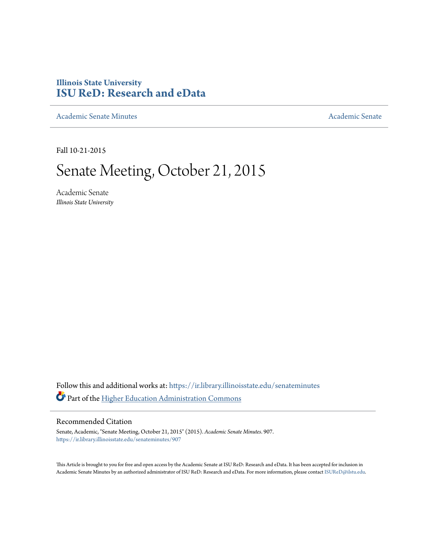## **Illinois State University [ISU ReD: Research and eData](https://ir.library.illinoisstate.edu?utm_source=ir.library.illinoisstate.edu%2Fsenateminutes%2F907&utm_medium=PDF&utm_campaign=PDFCoverPages)**

[Academic Senate Minutes](https://ir.library.illinoisstate.edu/senateminutes?utm_source=ir.library.illinoisstate.edu%2Fsenateminutes%2F907&utm_medium=PDF&utm_campaign=PDFCoverPages) [Academic Senate](https://ir.library.illinoisstate.edu/senate?utm_source=ir.library.illinoisstate.edu%2Fsenateminutes%2F907&utm_medium=PDF&utm_campaign=PDFCoverPages) Academic Senate

Fall 10-21-2015

# Senate Meeting, October 21, 2015

Academic Senate *Illinois State University*

Follow this and additional works at: [https://ir.library.illinoisstate.edu/senateminutes](https://ir.library.illinoisstate.edu/senateminutes?utm_source=ir.library.illinoisstate.edu%2Fsenateminutes%2F907&utm_medium=PDF&utm_campaign=PDFCoverPages) Part of the [Higher Education Administration Commons](http://network.bepress.com/hgg/discipline/791?utm_source=ir.library.illinoisstate.edu%2Fsenateminutes%2F907&utm_medium=PDF&utm_campaign=PDFCoverPages)

#### Recommended Citation

Senate, Academic, "Senate Meeting, October 21, 2015" (2015). *Academic Senate Minutes*. 907. [https://ir.library.illinoisstate.edu/senateminutes/907](https://ir.library.illinoisstate.edu/senateminutes/907?utm_source=ir.library.illinoisstate.edu%2Fsenateminutes%2F907&utm_medium=PDF&utm_campaign=PDFCoverPages)

This Article is brought to you for free and open access by the Academic Senate at ISU ReD: Research and eData. It has been accepted for inclusion in Academic Senate Minutes by an authorized administrator of ISU ReD: Research and eData. For more information, please contact [ISUReD@ilstu.edu.](mailto:ISUReD@ilstu.edu)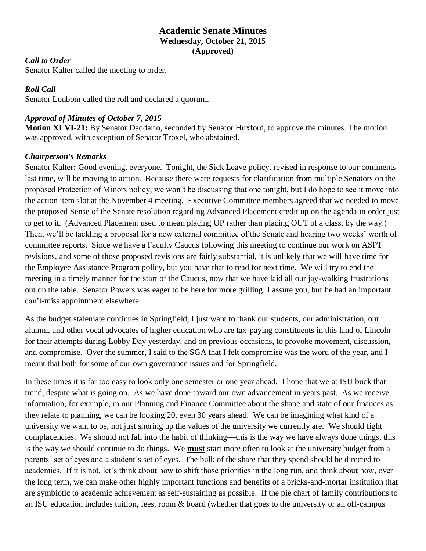## **Academic Senate Minutes Wednesday, October 21, 2015 (Approved)**

#### *Call to Order*

Senator Kalter called the meeting to order.

## *Roll Call*

Senator Lonbom called the roll and declared a quorum.

## *Approval of Minutes of October 7, 2015*

**Motion XLVI-21:** By Senator Daddario, seconded by Senator Huxford, to approve the minutes. The motion was approved, with exception of Senator Troxel, who abstained.

### *Chairperson's Remarks*

Senator Kalter**:** Good evening, everyone. Tonight, the Sick Leave policy, revised in response to our comments last time, will be moving to action. Because there were requests for clarification from multiple Senators on the proposed Protection of Minors policy, we won't be discussing that one tonight, but I do hope to see it move into the action item slot at the November 4 meeting. Executive Committee members agreed that we needed to move the proposed Sense of the Senate resolution regarding Advanced Placement credit up on the agenda in order just to get to it. (Advanced Placement used to mean placing UP rather than placing OUT of a class, by the way.) Then, we'll be tackling a proposal for a new external committee of the Senate and hearing two weeks' worth of committee reports. Since we have a Faculty Caucus following this meeting to continue our work on ASPT revisions, and some of those proposed revisions are fairly substantial, it is unlikely that we will have time for the Employee Assistance Program policy, but you have that to read for next time. We will try to end the meeting in a timely manner for the start of the Caucus, now that we have laid all our jay-walking frustrations out on the table. Senator Powers was eager to be here for more grilling, I assure you, but he had an important can't-miss appointment elsewhere.

As the budget stalemate continues in Springfield, I just want to thank our students, our administration, our alumni, and other vocal advocates of higher education who are tax-paying constituents in this land of Lincoln for their attempts during Lobby Day yesterday, and on previous occasions, to provoke movement, discussion, and compromise. Over the summer, I said to the SGA that I felt compromise was the word of the year, and I meant that both for some of our own governance issues and for Springfield.

In these times it is far too easy to look only one semester or one year ahead. I hope that we at ISU buck that trend, despite what is going on. As we have done toward our own advancement in years past. As we receive information, for example, in our Planning and Finance Committee about the shape and state of our finances as they relate to planning, we can be looking 20, even 30 years ahead. We can be imagining what kind of a university we want to be, not just shoring up the values of the university we currently are. We should fight complacencies. We should not fall into the habit of thinking—this is the way we have always done things, this is the way we should continue to do things. We **must** start more often to look at the university budget from a parents' set of eyes and a student's set of eyes. The bulk of the share that they spend should be directed to academics. If it is not, let's think about how to shift those priorities in the long run, and think about how, over the long term, we can make other highly important functions and benefits of a bricks-and-mortar institution that are symbiotic to academic achievement as self-sustaining as possible. If the pie chart of family contributions to an ISU education includes tuition, fees, room & board (whether that goes to the university or an off-campus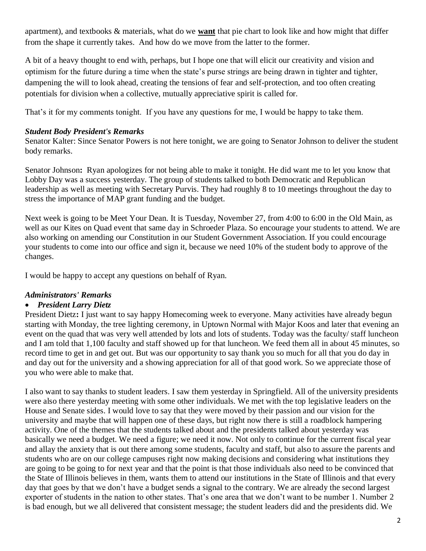apartment), and textbooks & materials, what do we **want** that pie chart to look like and how might that differ from the shape it currently takes. And how do we move from the latter to the former.

A bit of a heavy thought to end with, perhaps, but I hope one that will elicit our creativity and vision and optimism for the future during a time when the state's purse strings are being drawn in tighter and tighter, dampening the will to look ahead, creating the tensions of fear and self-protection, and too often creating potentials for division when a collective, mutually appreciative spirit is called for.

That's it for my comments tonight. If you have any questions for me, I would be happy to take them.

#### *Student Body President's Remarks*

Senator Kalter: Since Senator Powers is not here tonight, we are going to Senator Johnson to deliver the student body remarks.

Senator Johnson**:** Ryan apologizes for not being able to make it tonight. He did want me to let you know that Lobby Day was a success yesterday. The group of students talked to both Democratic and Republican leadership as well as meeting with Secretary Purvis. They had roughly 8 to 10 meetings throughout the day to stress the importance of MAP grant funding and the budget.

Next week is going to be Meet Your Dean. It is Tuesday, November 27, from 4:00 to 6:00 in the Old Main, as well as our Kites on Quad event that same day in Schroeder Plaza. So encourage your students to attend. We are also working on amending our Constitution in our Student Government Association. If you could encourage your students to come into our office and sign it, because we need 10% of the student body to approve of the changes.

I would be happy to accept any questions on behalf of Ryan.

### *Administrators' Remarks*

#### • *President Larry Dietz*

President Dietz**:** I just want to say happy Homecoming week to everyone. Many activities have already begun starting with Monday, the tree lighting ceremony, in Uptown Normal with Major Koos and later that evening an event on the quad that was very well attended by lots and lots of students. Today was the faculty/ staff luncheon and I am told that 1,100 faculty and staff showed up for that luncheon. We feed them all in about 45 minutes, so record time to get in and get out. But was our opportunity to say thank you so much for all that you do day in and day out for the university and a showing appreciation for all of that good work. So we appreciate those of you who were able to make that.

I also want to say thanks to student leaders. I saw them yesterday in Springfield. All of the university presidents were also there yesterday meeting with some other individuals. We met with the top legislative leaders on the House and Senate sides. I would love to say that they were moved by their passion and our vision for the university and maybe that will happen one of these days, but right now there is still a roadblock hampering activity. One of the themes that the students talked about and the presidents talked about yesterday was basically we need a budget. We need a figure; we need it now. Not only to continue for the current fiscal year and allay the anxiety that is out there among some students, faculty and staff, but also to assure the parents and students who are on our college campuses right now making decisions and considering what institutions they are going to be going to for next year and that the point is that those individuals also need to be convinced that the State of Illinois believes in them, wants them to attend our institutions in the State of Illinois and that every day that goes by that we don't have a budget sends a signal to the contrary. We are already the second largest exporter of students in the nation to other states. That's one area that we don't want to be number 1. Number 2 is bad enough, but we all delivered that consistent message; the student leaders did and the presidents did. We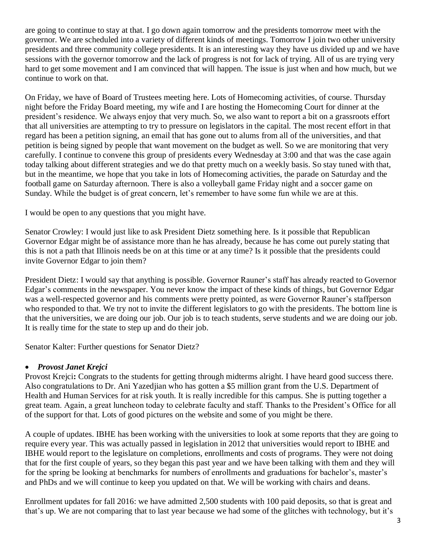are going to continue to stay at that. I go down again tomorrow and the presidents tomorrow meet with the governor. We are scheduled into a variety of different kinds of meetings. Tomorrow I join two other university presidents and three community college presidents. It is an interesting way they have us divided up and we have sessions with the governor tomorrow and the lack of progress is not for lack of trying. All of us are trying very hard to get some movement and I am convinced that will happen. The issue is just when and how much, but we continue to work on that.

On Friday, we have of Board of Trustees meeting here. Lots of Homecoming activities, of course. Thursday night before the Friday Board meeting, my wife and I are hosting the Homecoming Court for dinner at the president's residence. We always enjoy that very much. So, we also want to report a bit on a grassroots effort that all universities are attempting to try to pressure on legislators in the capital. The most recent effort in that regard has been a petition signing, an email that has gone out to alums from all of the universities, and that petition is being signed by people that want movement on the budget as well. So we are monitoring that very carefully. I continue to convene this group of presidents every Wednesday at 3:00 and that was the case again today talking about different strategies and we do that pretty much on a weekly basis. So stay tuned with that, but in the meantime, we hope that you take in lots of Homecoming activities, the parade on Saturday and the football game on Saturday afternoon. There is also a volleyball game Friday night and a soccer game on Sunday. While the budget is of great concern, let's remember to have some fun while we are at this.

I would be open to any questions that you might have.

Senator Crowley: I would just like to ask President Dietz something here. Is it possible that Republican Governor Edgar might be of assistance more than he has already, because he has come out purely stating that this is not a path that Illinois needs be on at this time or at any time? Is it possible that the presidents could invite Governor Edgar to join them?

President Dietz: I would say that anything is possible. Governor Rauner's staff has already reacted to Governor Edgar's comments in the newspaper. You never know the impact of these kinds of things, but Governor Edgar was a well-respected governor and his comments were pretty pointed, as were Governor Rauner's staffperson who responded to that. We try not to invite the different legislators to go with the presidents. The bottom line is that the universities, we are doing our job. Our job is to teach students, serve students and we are doing our job. It is really time for the state to step up and do their job.

Senator Kalter: Further questions for Senator Dietz?

### • *Provost Janet Krejci*

Provost Krejci**:** Congrats to the students for getting through midterms alright. I have heard good success there. Also congratulations to Dr. Ani Yazedjian who has gotten a \$5 million grant from the U.S. Department of Health and Human Services for at risk youth. It is really incredible for this campus. She is putting together a great team. Again, a great luncheon today to celebrate faculty and staff. Thanks to the President's Office for all of the support for that. Lots of good pictures on the website and some of you might be there.

A couple of updates. IBHE has been working with the universities to look at some reports that they are going to require every year. This was actually passed in legislation in 2012 that universities would report to IBHE and IBHE would report to the legislature on completions, enrollments and costs of programs. They were not doing that for the first couple of years, so they began this past year and we have been talking with them and they will for the spring be looking at benchmarks for numbers of enrollments and graduations for bachelor's, master's and PhDs and we will continue to keep you updated on that. We will be working with chairs and deans.

Enrollment updates for fall 2016: we have admitted 2,500 students with 100 paid deposits, so that is great and that's up. We are not comparing that to last year because we had some of the glitches with technology, but it's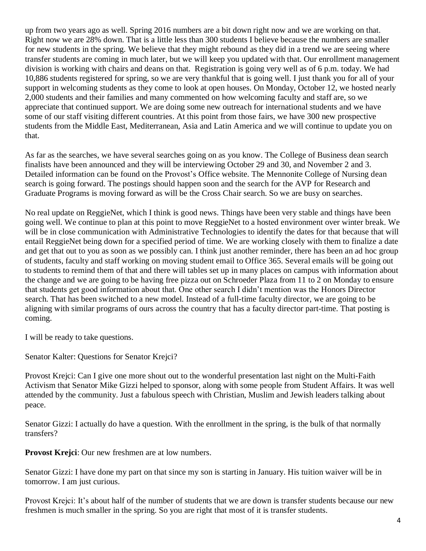up from two years ago as well. Spring 2016 numbers are a bit down right now and we are working on that. Right now we are 28% down. That is a little less than 300 students I believe because the numbers are smaller for new students in the spring. We believe that they might rebound as they did in a trend we are seeing where transfer students are coming in much later, but we will keep you updated with that. Our enrollment management division is working with chairs and deans on that. Registration is going very well as of 6 p.m. today. We had 10,886 students registered for spring, so we are very thankful that is going well. I just thank you for all of your support in welcoming students as they come to look at open houses. On Monday, October 12, we hosted nearly 2,000 students and their families and many commented on how welcoming faculty and staff are, so we appreciate that continued support. We are doing some new outreach for international students and we have some of our staff visiting different countries. At this point from those fairs, we have 300 new prospective students from the Middle East, Mediterranean, Asia and Latin America and we will continue to update you on that.

As far as the searches, we have several searches going on as you know. The College of Business dean search finalists have been announced and they will be interviewing October 29 and 30, and November 2 and 3. Detailed information can be found on the Provost's Office website. The Mennonite College of Nursing dean search is going forward. The postings should happen soon and the search for the AVP for Research and Graduate Programs is moving forward as will be the Cross Chair search. So we are busy on searches.

No real update on ReggieNet, which I think is good news. Things have been very stable and things have been going well. We continue to plan at this point to move ReggieNet to a hosted environment over winter break. We will be in close communication with Administrative Technologies to identify the dates for that because that will entail ReggieNet being down for a specified period of time. We are working closely with them to finalize a date and get that out to you as soon as we possibly can. I think just another reminder, there has been an ad hoc group of students, faculty and staff working on moving student email to Office 365. Several emails will be going out to students to remind them of that and there will tables set up in many places on campus with information about the change and we are going to be having free pizza out on Schroeder Plaza from 11 to 2 on Monday to ensure that students get good information about that. One other search I didn't mention was the Honors Director search. That has been switched to a new model. Instead of a full-time faculty director, we are going to be aligning with similar programs of ours across the country that has a faculty director part-time. That posting is coming.

I will be ready to take questions.

Senator Kalter: Questions for Senator Krejci?

Provost Krejci: Can I give one more shout out to the wonderful presentation last night on the Multi-Faith Activism that Senator Mike Gizzi helped to sponsor, along with some people from Student Affairs. It was well attended by the community. Just a fabulous speech with Christian, Muslim and Jewish leaders talking about peace.

Senator Gizzi: I actually do have a question. With the enrollment in the spring, is the bulk of that normally transfers?

**Provost Krejci**: Our new freshmen are at low numbers.

Senator Gizzi: I have done my part on that since my son is starting in January. His tuition waiver will be in tomorrow. I am just curious.

Provost Krejci: It's about half of the number of students that we are down is transfer students because our new freshmen is much smaller in the spring. So you are right that most of it is transfer students.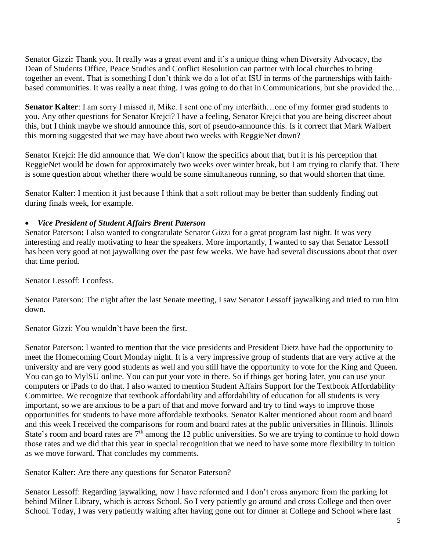Senator Gizzi**:** Thank you. It really was a great event and it's a unique thing when Diversity Advocacy, the Dean of Students Office, Peace Studies and Conflict Resolution can partner with local churches to bring together an event. That is something I don't think we do a lot of at ISU in terms of the partnerships with faithbased communities. It was really a neat thing. I was going to do that in Communications, but she provided the…

**Senator Kalter**: I am sorry I missed it, Mike. I sent one of my interfaith…one of my former grad students to you. Any other questions for Senator Krejci? I have a feeling, Senator Krejci that you are being discreet about this, but I think maybe we should announce this, sort of pseudo-announce this. Is it correct that Mark Walbert this morning suggested that we may have about two weeks with ReggieNet down?

Senator Krejci: He did announce that. We don't know the specifics about that, but it is his perception that ReggieNet would be down for approximately two weeks over winter break, but I am trying to clarify that. There is some question about whether there would be some simultaneous running, so that would shorten that time.

Senator Kalter: I mention it just because I think that a soft rollout may be better than suddenly finding out during finals week, for example.

## • *Vice President of Student Affairs Brent Paterson*

Senator Paterson**:** I also wanted to congratulate Senator Gizzi for a great program last night. It was very interesting and really motivating to hear the speakers. More importantly, I wanted to say that Senator Lessoff has been very good at not jaywalking over the past few weeks. We have had several discussions about that over that time period.

Senator Lessoff: I confess.

Senator Paterson: The night after the last Senate meeting, I saw Senator Lessoff jaywalking and tried to run him down.

Senator Gizzi: You wouldn't have been the first.

Senator Paterson: I wanted to mention that the vice presidents and President Dietz have had the opportunity to meet the Homecoming Court Monday night. It is a very impressive group of students that are very active at the university and are very good students as well and you still have the opportunity to vote for the King and Queen. You can go to MyISU online. You can put your vote in there. So if things get boring later, you can use your computers or iPads to do that. I also wanted to mention Student Affairs Support for the Textbook Affordability Committee. We recognize that textbook affordability and affordability of education for all students is very important, so we are anxious to be a part of that and move forward and try to find ways to improve those opportunities for students to have more affordable textbooks. Senator Kalter mentioned about room and board and this week I received the comparisons for room and board rates at the public universities in Illinois. Illinois State's room and board rates are  $7<sup>th</sup>$  among the 12 public universities. So we are trying to continue to hold down those rates and we did that this year in special recognition that we need to have some more flexibility in tuition as we move forward. That concludes my comments.

Senator Kalter: Are there any questions for Senator Paterson?

Senator Lessoff: Regarding jaywalking, now I have reformed and I don't cross anymore from the parking lot behind Milner Library, which is across School. So I very patiently go around and cross College and then over School. Today, I was very patiently waiting after having gone out for dinner at College and School where last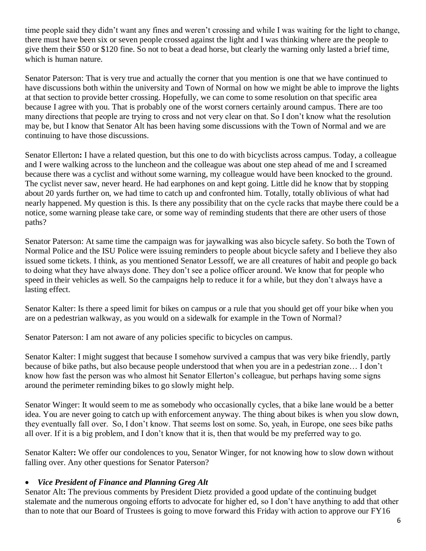time people said they didn't want any fines and weren't crossing and while I was waiting for the light to change, there must have been six or seven people crossed against the light and I was thinking where are the people to give them their \$50 or \$120 fine. So not to beat a dead horse, but clearly the warning only lasted a brief time, which is human nature.

Senator Paterson: That is very true and actually the corner that you mention is one that we have continued to have discussions both within the university and Town of Normal on how we might be able to improve the lights at that section to provide better crossing. Hopefully, we can come to some resolution on that specific area because I agree with you. That is probably one of the worst corners certainly around campus. There are too many directions that people are trying to cross and not very clear on that. So I don't know what the resolution may be, but I know that Senator Alt has been having some discussions with the Town of Normal and we are continuing to have those discussions.

Senator Ellerton**:** I have a related question, but this one to do with bicyclists across campus. Today, a colleague and I were walking across to the luncheon and the colleague was about one step ahead of me and I screamed because there was a cyclist and without some warning, my colleague would have been knocked to the ground. The cyclist never saw, never heard. He had earphones on and kept going. Little did he know that by stopping about 20 yards further on, we had time to catch up and confronted him. Totally, totally oblivious of what had nearly happened. My question is this. Is there any possibility that on the cycle racks that maybe there could be a notice, some warning please take care, or some way of reminding students that there are other users of those paths?

Senator Paterson: At same time the campaign was for jaywalking was also bicycle safety. So both the Town of Normal Police and the ISU Police were issuing reminders to people about bicycle safety and I believe they also issued some tickets. I think, as you mentioned Senator Lessoff, we are all creatures of habit and people go back to doing what they have always done. They don't see a police officer around. We know that for people who speed in their vehicles as well. So the campaigns help to reduce it for a while, but they don't always have a lasting effect.

Senator Kalter: Is there a speed limit for bikes on campus or a rule that you should get off your bike when you are on a pedestrian walkway, as you would on a sidewalk for example in the Town of Normal?

Senator Paterson: I am not aware of any policies specific to bicycles on campus.

Senator Kalter: I might suggest that because I somehow survived a campus that was very bike friendly, partly because of bike paths, but also because people understood that when you are in a pedestrian zone… I don't know how fast the person was who almost hit Senator Ellerton's colleague, but perhaps having some signs around the perimeter reminding bikes to go slowly might help.

Senator Winger: It would seem to me as somebody who occasionally cycles, that a bike lane would be a better idea. You are never going to catch up with enforcement anyway. The thing about bikes is when you slow down, they eventually fall over. So, I don't know. That seems lost on some. So, yeah, in Europe, one sees bike paths all over. If it is a big problem, and I don't know that it is, then that would be my preferred way to go.

Senator Kalter**:** We offer our condolences to you, Senator Winger, for not knowing how to slow down without falling over. Any other questions for Senator Paterson?

### • *Vice President of Finance and Planning Greg Alt*

Senator Alt**:** The previous comments by President Dietz provided a good update of the continuing budget stalemate and the numerous ongoing efforts to advocate for higher ed, so I don't have anything to add that other than to note that our Board of Trustees is going to move forward this Friday with action to approve our FY16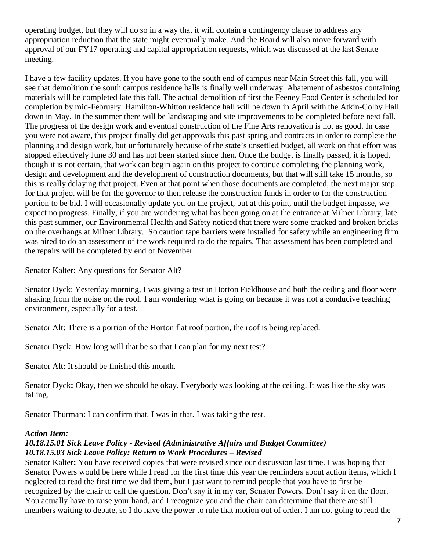operating budget, but they will do so in a way that it will contain a contingency clause to address any appropriation reduction that the state might eventually make. And the Board will also move forward with approval of our FY17 operating and capital appropriation requests, which was discussed at the last Senate meeting.

I have a few facility updates. If you have gone to the south end of campus near Main Street this fall, you will see that demolition the south campus residence halls is finally well underway. Abatement of asbestos containing materials will be completed late this fall. The actual demolition of first the Feeney Food Center is scheduled for completion by mid-February. Hamilton-Whitton residence hall will be down in April with the Atkin-Colby Hall down in May. In the summer there will be landscaping and site improvements to be completed before next fall. The progress of the design work and eventual construction of the Fine Arts renovation is not as good. In case you were not aware, this project finally did get approvals this past spring and contracts in order to complete the planning and design work, but unfortunately because of the state's unsettled budget, all work on that effort was stopped effectively June 30 and has not been started since then. Once the budget is finally passed, it is hoped, though it is not certain, that work can begin again on this project to continue completing the planning work, design and development and the development of construction documents, but that will still take 15 months, so this is really delaying that project. Even at that point when those documents are completed, the next major step for that project will be for the governor to then release the construction funds in order to for the construction portion to be bid. I will occasionally update you on the project, but at this point, until the budget impasse, we expect no progress. Finally, if you are wondering what has been going on at the entrance at Milner Library, late this past summer, our Environmental Health and Safety noticed that there were some cracked and broken bricks on the overhangs at Milner Library. So caution tape barriers were installed for safety while an engineering firm was hired to do an assessment of the work required to do the repairs. That assessment has been completed and the repairs will be completed by end of November.

Senator Kalter: Any questions for Senator Alt?

Senator Dyck: Yesterday morning, I was giving a test in Horton Fieldhouse and both the ceiling and floor were shaking from the noise on the roof. I am wondering what is going on because it was not a conducive teaching environment, especially for a test.

Senator Alt: There is a portion of the Horton flat roof portion, the roof is being replaced.

Senator Dyck: How long will that be so that I can plan for my next test?

Senator Alt: It should be finished this month.

Senator Dyck**:** Okay, then we should be okay. Everybody was looking at the ceiling. It was like the sky was falling.

Senator Thurman: I can confirm that. I was in that. I was taking the test.

#### *Action Item:*

### *10.18.15.01 Sick Leave Policy - Revised (Administrative Affairs and Budget Committee) 10.18.15.03 Sick Leave Policy: Return to Work Procedures – Revised*

Senator Kalter**:** You have received copies that were revised since our discussion last time. I was hoping that Senator Powers would be here while I read for the first time this year the reminders about action items, which I neglected to read the first time we did them, but I just want to remind people that you have to first be recognized by the chair to call the question. Don't say it in my ear, Senator Powers. Don't say it on the floor. You actually have to raise your hand, and I recognize you and the chair can determine that there are still members waiting to debate, so I do have the power to rule that motion out of order. I am not going to read the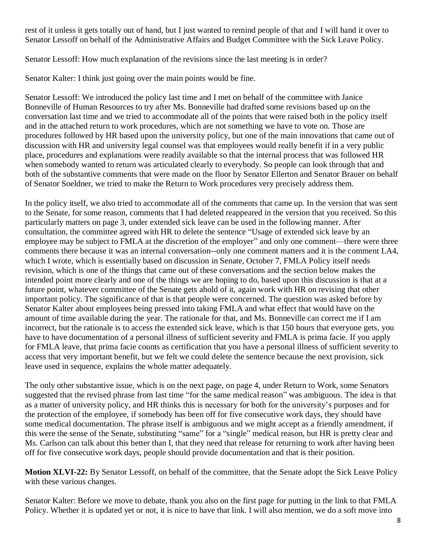rest of it unless it gets totally out of hand, but I just wanted to remind people of that and I will hand it over to Senator Lessoff on behalf of the Administrative Affairs and Budget Committee with the Sick Leave Policy.

Senator Lessoff: How much explanation of the revisions since the last meeting is in order?

Senator Kalter: I think just going over the main points would be fine.

Senator Lessoff: We introduced the policy last time and I met on behalf of the committee with Janice Bonneville of Human Resources to try after Ms. Bonneville had drafted some revisions based up on the conversation last time and we tried to accommodate all of the points that were raised both in the policy itself and in the attached return to work procedures, which are not something we have to vote on. Those are procedures followed by HR based upon the university policy, but one of the main innovations that came out of discussion with HR and university legal counsel was that employees would really benefit if in a very public place, procedures and explanations were readily available so that the internal process that was followed HR when somebody wanted to return was articulated clearly to everybody. So people can look through that and both of the substantive comments that were made on the floor by Senator Ellerton and Senator Brauer on behalf of Senator Soeldner, we tried to make the Return to Work procedures very precisely address them.

In the policy itself, we also tried to accommodate all of the comments that came up. In the version that was sent to the Senate, for some reason, comments that I had deleted reappeared in the version that you received. So this particularly matters on page 3, under extended sick leave can be used in the following manner. After consultation, the committee agreed with HR to delete the sentence "Usage of extended sick leave by an employee may be subject to FMLA at the discretion of the employer" and only one comment—there were three comments there because it was an internal conversation--only one comment matters and it is the comment LA4, which I wrote, which is essentially based on discussion in Senate, October 7, FMLA Policy itself needs revision, which is one of the things that came out of these conversations and the section below makes the intended point more clearly and one of the things we are hoping to do, based upon this discussion is that at a future point, whatever committee of the Senate gets ahold of it, again work with HR on revising that other important policy. The significance of that is that people were concerned. The question was asked before by Senator Kalter about employees being pressed into taking FMLA and what effect that would have on the amount of time available during the year. The rationale for that, and Ms. Bonneville can correct me if I am incorrect, but the rationale is to access the extended sick leave, which is that 150 hours that everyone gets, you have to have documentation of a personal illness of sufficient severity and FMLA is prima facie. If you apply for FMLA leave, that prima facie counts as certification that you have a personal illness of sufficient severity to access that very important benefit, but we felt we could delete the sentence because the next provision, sick leave used in sequence, explains the whole matter adequately.

The only other substantive issue, which is on the next page, on page 4, under Return to Work, some Senators suggested that the revised phrase from last time "for the same medical reason" was ambiguous. The idea is that as a matter of university policy, and HR thinks this is necessary for both for the university's purposes and for the protection of the employee, if somebody has been off for five consecutive work days, they should have some medical documentation. The phrase itself is ambiguous and we might accept as a friendly amendment, if this were the sense of the Senate, substituting "same" for a "single" medical reason, but HR is pretty clear and Ms. Carlson can talk about this better than I, that they need that release for returning to work after having been off for five consecutive work days, people should provide documentation and that is their position.

**Motion XLVI-22:** By Senator Lessoff, on behalf of the committee, that the Senate adopt the Sick Leave Policy with these various changes.

Senator Kalter: Before we move to debate, thank you also on the first page for putting in the link to that FMLA Policy. Whether it is updated yet or not, it is nice to have that link. I will also mention, we do a soft move into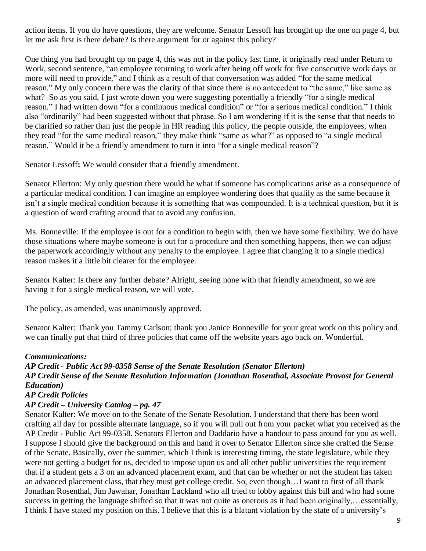action items. If you do have questions, they are welcome. Senator Lessoff has brought up the one on page 4, but let me ask first is there debate? Is there argument for or against this policy?

One thing you had brought up on page 4, this was not in the policy last time, it originally read under Return to Work, second sentence, "an employee returning to work after being off work for five consecutive work days or more will need to provide," and I think as a result of that conversation was added "for the same medical reason." My only concern there was the clarity of that since there is no antecedent to "the same," like same as what? So as you said, I just wrote down you were suggesting potentially a friendly "for a single medical reason." I had written down "for a continuous medical condition" or "for a serious medical condition." I think also "ordinarily" had been suggested without that phrase. So I am wondering if it is the sense that that needs to be clarified so rather than just the people in HR reading this policy, the people outside, the employees, when they read "for the same medical reason," they make think "same as what?" as opposed to "a single medical reason." Would it be a friendly amendment to turn it into "for a single medical reason"?

Senator Lessoff**:** We would consider that a friendly amendment.

Senator Ellerton: My only question there would be what if someone has complications arise as a consequence of a particular medical condition. I can imagine an employee wondering does that qualify as the same because it isn't a single medical condition because it is something that was compounded. It is a technical question, but it is a question of word crafting around that to avoid any confusion.

Ms. Bonneville: If the employee is out for a condition to begin with, then we have some flexibility. We do have those situations where maybe someone is out for a procedure and then something happens, then we can adjust the paperwork accordingly without any penalty to the employee. I agree that changing it to a single medical reason makes it a little bit clearer for the employee.

Senator Kalter: Is there any further debate? Alright, seeing none with that friendly amendment, so we are having it for a single medical reason, we will vote.

The policy, as amended, was unanimously approved.

Senator Kalter: Thank you Tammy Carlson; thank you Janice Bonneville for your great work on this policy and we can finally put that third of three policies that came off the website years ago back on. Wonderful.

#### *Communications:*

*AP Credit - Public Act 99-0358 Sense of the Senate Resolution (Senator Ellerton) AP Credit Sense of the Senate Resolution Information (Jonathan Rosenthal, Associate Provost for General Education)*

## *AP Credit Policies*

### *AP Credit – University Catalog – pg. 47*

Senator Kalter: We move on to the Senate of the Senate Resolution. I understand that there has been word crafting all day for possible alternate language, so if you will pull out from your packet what you received as the AP Credit - Public Act 99-0358. Senators Ellerton and Daddario have a handout to pass around for you as well. I suppose I should give the background on this and hand it over to Senator Ellerton since she crafted the Sense of the Senate. Basically, over the summer, which I think is interesting timing, the state legislature, while they were not getting a budget for us, decided to impose upon us and all other public universities the requirement that if a student gets a 3 on an advanced placement exam, and that can be whether or not the student has taken an advanced placement class, that they must get college credit. So, even though…I want to first of all thank Jonathan Rosenthal, Jim Jawahar, Jonathan Lackland who all tried to lobby against this bill and who had some success in getting the language shifted so that it was not quite as onerous as it had been originally,…essentially, I think I have stated my position on this. I believe that this is a blatant violation by the state of a university's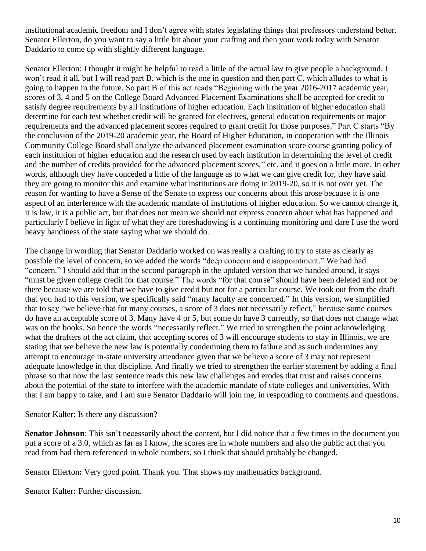institutional academic freedom and I don't agree with states legislating things that professors understand better. Senator Ellerton, do you want to say a little bit about your crafting and then your work today with Senator Daddario to come up with slightly different language.

Senator Ellerton: I thought it might be helpful to read a little of the actual law to give people a background. I won't read it all, but I will read part B, which is the one in question and then part C, which alludes to what is going to happen in the future. So part B of this act reads "Beginning with the year 2016-2017 academic year, scores of 3, 4 and 5 on the College Board Advanced Placement Examinations shall be accepted for credit to satisfy degree requirements by all institutions of higher education. Each institution of higher education shall determine for each test whether credit will be granted for electives, general education requirements or major requirements and the advanced placement scores required to grant credit for those purposes." Part C starts "By the conclusion of the 2019-20 academic year, the Board of Higher Education, in cooperation with the Illinois Community College Board shall analyze the advanced placement examination score course granting policy of each institution of higher education and the research used by each institution in determining the level of credit and the number of credits provided for the advanced placement scores," etc. and it goes on a little more. In other words, although they have conceded a little of the language as to what we can give credit for, they have said they are going to monitor this and examine what institutions are doing in 2019-20, so it is not over yet. The reason for wanting to have a Sense of the Senate to express our concerns about this arose because it is one aspect of an interference with the academic mandate of institutions of higher education. So we cannot change it, it is law, it is a public act, but that does not mean we should not express concern about what has happened and particularly I believe in light of what they are foreshadowing is a continuing monitoring and dare I use the word heavy handiness of the state saying what we should do.

The change in wording that Senator Daddario worked on was really a crafting to try to state as clearly as possible the level of concern, so we added the words "deep concern and disappointment." We had had "concern." I should add that in the second paragraph in the updated version that we handed around, it says "must be given college credit for that course." The words "for that course" should have been deleted and not be there because we are told that we have to give credit but not for a particular course. We took out from the draft that you had to this version, we specifically said "many faculty are concerned." In this version, we simplified that to say "we believe that for many courses, a score of 3 does not necessarily reflect," because some courses do have an acceptable score of 3. Many have 4 or 5, but some do have 3 currently, so that does not change what was on the books. So hence the words "necessarily reflect." We tried to strengthen the point acknowledging what the drafters of the act claim, that accepting scores of 3 will encourage students to stay in Illinois, we are stating that we believe the new law is potentially condemning them to failure and as such undermines any attempt to encourage in-state university attendance given that we believe a score of 3 may not represent adequate knowledge in that discipline. And finally we tried to strengthen the earlier statement by adding a final phrase so that now the last sentence reads this new law challenges and erodes that trust and raises concerns about the potential of the state to interfere with the academic mandate of state colleges and universities. With that I am happy to take, and I am sure Senator Daddario will join me, in responding to comments and questions.

Senator Kalter: Is there any discussion?

**Senator Johnson**: This isn't necessarily about the content, but I did notice that a few times in the document you put a score of a 3.0, which as far as I know, the scores are in whole numbers and also the public act that you read from had them referenced in whole numbers, so I think that should probably be changed.

Senator Ellerton**:** Very good point. Thank you. That shows my mathematics background.

Senator Kalter**:** Further discussion.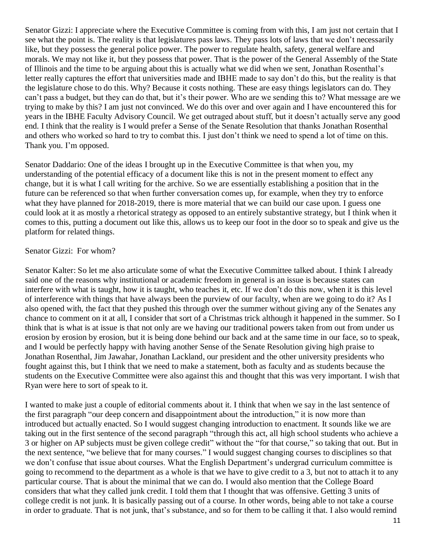Senator Gizzi: I appreciate where the Executive Committee is coming from with this, I am just not certain that I see what the point is. The reality is that legislatures pass laws. They pass lots of laws that we don't necessarily like, but they possess the general police power. The power to regulate health, safety, general welfare and morals. We may not like it, but they possess that power. That is the power of the General Assembly of the State of Illinois and the time to be arguing about this is actually what we did when we sent, Jonathan Rosenthal's letter really captures the effort that universities made and IBHE made to say don't do this, but the reality is that the legislature chose to do this. Why? Because it costs nothing. These are easy things legislators can do. They can't pass a budget, but they can do that, but it's their power. Who are we sending this to? What message are we trying to make by this? I am just not convinced. We do this over and over again and I have encountered this for years in the IBHE Faculty Advisory Council. We get outraged about stuff, but it doesn't actually serve any good end. I think that the reality is I would prefer a Sense of the Senate Resolution that thanks Jonathan Rosenthal and others who worked so hard to try to combat this. I just don't think we need to spend a lot of time on this. Thank you. I'm opposed.

Senator Daddario: One of the ideas I brought up in the Executive Committee is that when you, my understanding of the potential efficacy of a document like this is not in the present moment to effect any change, but it is what I call writing for the archive. So we are essentially establishing a position that in the future can be referenced so that when further conversation comes up, for example, when they try to enforce what they have planned for 2018-2019, there is more material that we can build our case upon. I guess one could look at it as mostly a rhetorical strategy as opposed to an entirely substantive strategy, but I think when it comes to this, putting a document out like this, allows us to keep our foot in the door so to speak and give us the platform for related things.

#### Senator Gizzi: For whom?

Senator Kalter: So let me also articulate some of what the Executive Committee talked about. I think I already said one of the reasons why institutional or academic freedom in general is an issue is because states can interfere with what is taught, how it is taught, who teaches it, etc. If we don't do this now, when it is this level of interference with things that have always been the purview of our faculty, when are we going to do it? As I also opened with, the fact that they pushed this through over the summer without giving any of the Senates any chance to comment on it at all, I consider that sort of a Christmas trick although it happened in the summer. So I think that is what is at issue is that not only are we having our traditional powers taken from out from under us erosion by erosion by erosion, but it is being done behind our back and at the same time in our face, so to speak, and I would be perfectly happy with having another Sense of the Senate Resolution giving high praise to Jonathan Rosenthal, Jim Jawahar, Jonathan Lackland, our president and the other university presidents who fought against this, but I think that we need to make a statement, both as faculty and as students because the students on the Executive Committee were also against this and thought that this was very important. I wish that Ryan were here to sort of speak to it.

I wanted to make just a couple of editorial comments about it. I think that when we say in the last sentence of the first paragraph "our deep concern and disappointment about the introduction," it is now more than introduced but actually enacted. So I would suggest changing introduction to enactment. It sounds like we are taking out in the first sentence of the second paragraph "through this act, all high school students who achieve a 3 or higher on AP subjects must be given college credit" without the "for that course," so taking that out. But in the next sentence, "we believe that for many courses." I would suggest changing courses to disciplines so that we don't confuse that issue about courses. What the English Department's undergrad curriculum committee is going to recommend to the department as a whole is that we have to give credit to a 3, but not to attach it to any particular course. That is about the minimal that we can do. I would also mention that the College Board considers that what they called junk credit. I told them that I thought that was offensive. Getting 3 units of college credit is not junk. It is basically passing out of a course. In other words, being able to not take a course in order to graduate. That is not junk, that's substance, and so for them to be calling it that. I also would remind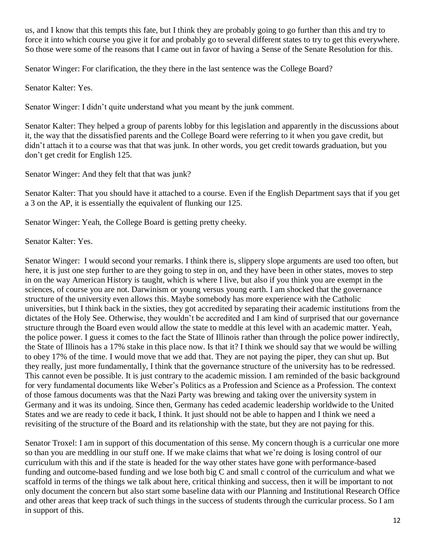us, and I know that this tempts this fate, but I think they are probably going to go further than this and try to force it into which course you give it for and probably go to several different states to try to get this everywhere. So those were some of the reasons that I came out in favor of having a Sense of the Senate Resolution for this.

Senator Winger: For clarification, the they there in the last sentence was the College Board?

Senator Kalter: Yes.

Senator Winger: I didn't quite understand what you meant by the junk comment.

Senator Kalter: They helped a group of parents lobby for this legislation and apparently in the discussions about it, the way that the dissatisfied parents and the College Board were referring to it when you gave credit, but didn't attach it to a course was that that was junk. In other words, you get credit towards graduation, but you don't get credit for English 125.

Senator Winger: And they felt that that was junk?

Senator Kalter: That you should have it attached to a course. Even if the English Department says that if you get a 3 on the AP, it is essentially the equivalent of flunking our 125.

Senator Winger: Yeah, the College Board is getting pretty cheeky.

Senator Kalter: Yes.

Senator Winger: I would second your remarks. I think there is, slippery slope arguments are used too often, but here, it is just one step further to are they going to step in on, and they have been in other states, moves to step in on the way American History is taught, which is where I live, but also if you think you are exempt in the sciences, of course you are not. Darwinism or young versus young earth. I am shocked that the governance structure of the university even allows this. Maybe somebody has more experience with the Catholic universities, but I think back in the sixties, they got accredited by separating their academic institutions from the dictates of the Holy See. Otherwise, they wouldn't be accredited and I am kind of surprised that our governance structure through the Board even would allow the state to meddle at this level with an academic matter. Yeah, the police power. I guess it comes to the fact the State of Illinois rather than through the police power indirectly, the State of Illinois has a 17% stake in this place now. Is that it? I think we should say that we would be willing to obey 17% of the time. I would move that we add that. They are not paying the piper, they can shut up. But they really, just more fundamentally, I think that the governance structure of the university has to be redressed. This cannot even be possible. It is just contrary to the academic mission. I am reminded of the basic background for very fundamental documents like Weber's Politics as a Profession and Science as a Profession. The context of those famous documents was that the Nazi Party was brewing and taking over the university system in Germany and it was its undoing. Since then, Germany has ceded academic leadership worldwide to the United States and we are ready to cede it back, I think. It just should not be able to happen and I think we need a revisiting of the structure of the Board and its relationship with the state, but they are not paying for this.

Senator Troxel: I am in support of this documentation of this sense. My concern though is a curricular one more so than you are meddling in our stuff one. If we make claims that what we're doing is losing control of our curriculum with this and if the state is headed for the way other states have gone with performance-based funding and outcome-based funding and we lose both big C and small c control of the curriculum and what we scaffold in terms of the things we talk about here, critical thinking and success, then it will be important to not only document the concern but also start some baseline data with our Planning and Institutional Research Office and other areas that keep track of such things in the success of students through the curricular process. So I am in support of this.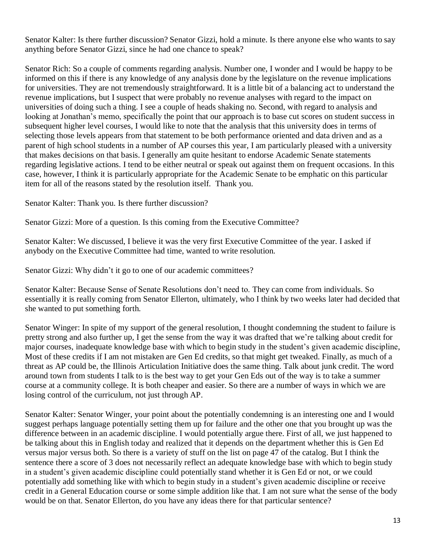Senator Kalter: Is there further discussion? Senator Gizzi, hold a minute. Is there anyone else who wants to say anything before Senator Gizzi, since he had one chance to speak?

Senator Rich: So a couple of comments regarding analysis. Number one, I wonder and I would be happy to be informed on this if there is any knowledge of any analysis done by the legislature on the revenue implications for universities. They are not tremendously straightforward. It is a little bit of a balancing act to understand the revenue implications, but I suspect that were probably no revenue analyses with regard to the impact on universities of doing such a thing. I see a couple of heads shaking no. Second, with regard to analysis and looking at Jonathan's memo, specifically the point that our approach is to base cut scores on student success in subsequent higher level courses, I would like to note that the analysis that this university does in terms of selecting those levels appears from that statement to be both performance oriented and data driven and as a parent of high school students in a number of AP courses this year, I am particularly pleased with a university that makes decisions on that basis. I generally am quite hesitant to endorse Academic Senate statements regarding legislative actions. I tend to be either neutral or speak out against them on frequent occasions. In this case, however, I think it is particularly appropriate for the Academic Senate to be emphatic on this particular item for all of the reasons stated by the resolution itself. Thank you.

Senator Kalter: Thank you. Is there further discussion?

Senator Gizzi: More of a question. Is this coming from the Executive Committee?

Senator Kalter: We discussed, I believe it was the very first Executive Committee of the year. I asked if anybody on the Executive Committee had time, wanted to write resolution.

Senator Gizzi: Why didn't it go to one of our academic committees?

Senator Kalter: Because Sense of Senate Resolutions don't need to. They can come from individuals. So essentially it is really coming from Senator Ellerton, ultimately, who I think by two weeks later had decided that she wanted to put something forth.

Senator Winger: In spite of my support of the general resolution, I thought condemning the student to failure is pretty strong and also further up, I get the sense from the way it was drafted that we're talking about credit for major courses, inadequate knowledge base with which to begin study in the student's given academic discipline, Most of these credits if I am not mistaken are Gen Ed credits, so that might get tweaked. Finally, as much of a threat as AP could be, the Illinois Articulation Initiative does the same thing. Talk about junk credit. The word around town from students I talk to is the best way to get your Gen Eds out of the way is to take a summer course at a community college. It is both cheaper and easier. So there are a number of ways in which we are losing control of the curriculum, not just through AP.

Senator Kalter: Senator Winger, your point about the potentially condemning is an interesting one and I would suggest perhaps language potentially setting them up for failure and the other one that you brought up was the difference between in an academic discipline. I would potentially argue there. First of all, we just happened to be talking about this in English today and realized that it depends on the department whether this is Gen Ed versus major versus both. So there is a variety of stuff on the list on page 47 of the catalog. But I think the sentence there a score of 3 does not necessarily reflect an adequate knowledge base with which to begin study in a student's given academic discipline could potentially stand whether it is Gen Ed or not, or we could potentially add something like with which to begin study in a student's given academic discipline or receive credit in a General Education course or some simple addition like that. I am not sure what the sense of the body would be on that. Senator Ellerton, do you have any ideas there for that particular sentence?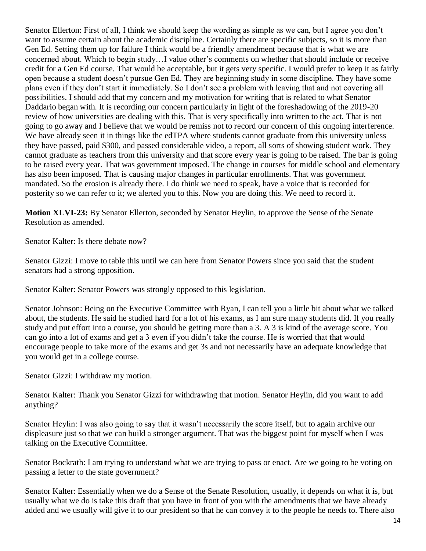Senator Ellerton: First of all, I think we should keep the wording as simple as we can, but I agree you don't want to assume certain about the academic discipline. Certainly there are specific subjects, so it is more than Gen Ed. Setting them up for failure I think would be a friendly amendment because that is what we are concerned about. Which to begin study…I value other's comments on whether that should include or receive credit for a Gen Ed course. That would be acceptable, but it gets very specific. I would prefer to keep it as fairly open because a student doesn't pursue Gen Ed. They are beginning study in some discipline. They have some plans even if they don't start it immediately. So I don't see a problem with leaving that and not covering all possibilities. I should add that my concern and my motivation for writing that is related to what Senator Daddario began with. It is recording our concern particularly in light of the foreshadowing of the 2019-20 review of how universities are dealing with this. That is very specifically into written to the act. That is not going to go away and I believe that we would be remiss not to record our concern of this ongoing interference. We have already seen it in things like the edTPA where students cannot graduate from this university unless they have passed, paid \$300, and passed considerable video, a report, all sorts of showing student work. They cannot graduate as teachers from this university and that score every year is going to be raised. The bar is going to be raised every year. That was government imposed. The change in courses for middle school and elementary has also been imposed. That is causing major changes in particular enrollments. That was government mandated. So the erosion is already there. I do think we need to speak, have a voice that is recorded for posterity so we can refer to it; we alerted you to this. Now you are doing this. We need to record it.

**Motion XLVI-23:** By Senator Ellerton, seconded by Senator Heylin, to approve the Sense of the Senate Resolution as amended.

Senator Kalter: Is there debate now?

Senator Gizzi: I move to table this until we can here from Senator Powers since you said that the student senators had a strong opposition.

Senator Kalter: Senator Powers was strongly opposed to this legislation.

Senator Johnson: Being on the Executive Committee with Ryan, I can tell you a little bit about what we talked about, the students. He said he studied hard for a lot of his exams, as I am sure many students did. If you really study and put effort into a course, you should be getting more than a 3. A 3 is kind of the average score. You can go into a lot of exams and get a 3 even if you didn't take the course. He is worried that that would encourage people to take more of the exams and get 3s and not necessarily have an adequate knowledge that you would get in a college course.

Senator Gizzi: I withdraw my motion.

Senator Kalter: Thank you Senator Gizzi for withdrawing that motion. Senator Heylin, did you want to add anything?

Senator Heylin: I was also going to say that it wasn't necessarily the score itself, but to again archive our displeasure just so that we can build a stronger argument. That was the biggest point for myself when I was talking on the Executive Committee.

Senator Bockrath: I am trying to understand what we are trying to pass or enact. Are we going to be voting on passing a letter to the state government?

Senator Kalter: Essentially when we do a Sense of the Senate Resolution, usually, it depends on what it is, but usually what we do is take this draft that you have in front of you with the amendments that we have already added and we usually will give it to our president so that he can convey it to the people he needs to. There also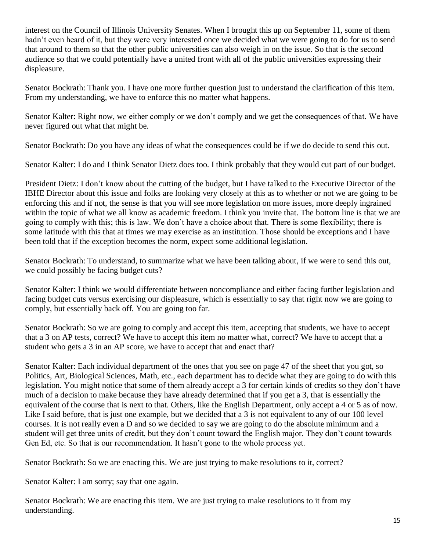interest on the Council of Illinois University Senates. When I brought this up on September 11, some of them hadn't even heard of it, but they were very interested once we decided what we were going to do for us to send that around to them so that the other public universities can also weigh in on the issue. So that is the second audience so that we could potentially have a united front with all of the public universities expressing their displeasure.

Senator Bockrath: Thank you. I have one more further question just to understand the clarification of this item. From my understanding, we have to enforce this no matter what happens.

Senator Kalter: Right now, we either comply or we don't comply and we get the consequences of that. We have never figured out what that might be.

Senator Bockrath: Do you have any ideas of what the consequences could be if we do decide to send this out.

Senator Kalter: I do and I think Senator Dietz does too. I think probably that they would cut part of our budget.

President Dietz: I don't know about the cutting of the budget, but I have talked to the Executive Director of the IBHE Director about this issue and folks are looking very closely at this as to whether or not we are going to be enforcing this and if not, the sense is that you will see more legislation on more issues, more deeply ingrained within the topic of what we all know as academic freedom. I think you invite that. The bottom line is that we are going to comply with this; this is law. We don't have a choice about that. There is some flexibility; there is some latitude with this that at times we may exercise as an institution. Those should be exceptions and I have been told that if the exception becomes the norm, expect some additional legislation.

Senator Bockrath: To understand, to summarize what we have been talking about, if we were to send this out, we could possibly be facing budget cuts?

Senator Kalter: I think we would differentiate between noncompliance and either facing further legislation and facing budget cuts versus exercising our displeasure, which is essentially to say that right now we are going to comply, but essentially back off. You are going too far.

Senator Bockrath: So we are going to comply and accept this item, accepting that students, we have to accept that a 3 on AP tests, correct? We have to accept this item no matter what, correct? We have to accept that a student who gets a 3 in an AP score, we have to accept that and enact that?

Senator Kalter: Each individual department of the ones that you see on page 47 of the sheet that you got, so Politics, Art, Biological Sciences, Math, etc., each department has to decide what they are going to do with this legislation. You might notice that some of them already accept a 3 for certain kinds of credits so they don't have much of a decision to make because they have already determined that if you get a 3, that is essentially the equivalent of the course that is next to that. Others, like the English Department, only accept a 4 or 5 as of now. Like I said before, that is just one example, but we decided that a 3 is not equivalent to any of our 100 level courses. It is not really even a D and so we decided to say we are going to do the absolute minimum and a student will get three units of credit, but they don't count toward the English major. They don't count towards Gen Ed, etc. So that is our recommendation. It hasn't gone to the whole process yet.

Senator Bockrath: So we are enacting this. We are just trying to make resolutions to it, correct?

Senator Kalter: I am sorry; say that one again.

Senator Bockrath: We are enacting this item. We are just trying to make resolutions to it from my understanding.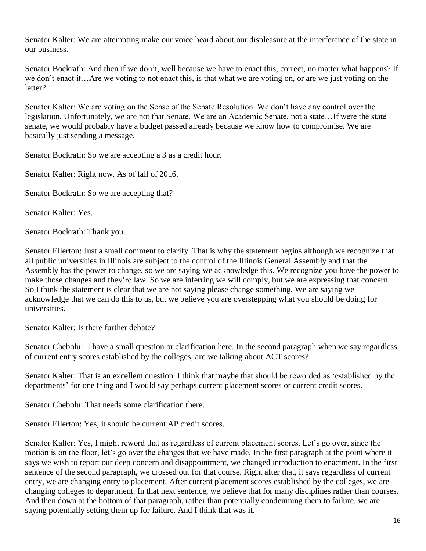Senator Kalter: We are attempting make our voice heard about our displeasure at the interference of the state in our business.

Senator Bockrath: And then if we don't, well because we have to enact this, correct, no matter what happens? If we don't enact it…Are we voting to not enact this, is that what we are voting on, or are we just voting on the letter?

Senator Kalter: We are voting on the Sense of the Senate Resolution. We don't have any control over the legislation. Unfortunately, we are not that Senate. We are an Academic Senate, not a state…If were the state senate, we would probably have a budget passed already because we know how to compromise. We are basically just sending a message.

Senator Bockrath: So we are accepting a 3 as a credit hour.

Senator Kalter: Right now. As of fall of 2016.

Senator Bockrath: So we are accepting that?

Senator Kalter: Yes.

Senator Bockrath: Thank you.

Senator Ellerton: Just a small comment to clarify. That is why the statement begins although we recognize that all public universities in Illinois are subject to the control of the Illinois General Assembly and that the Assembly has the power to change, so we are saying we acknowledge this. We recognize you have the power to make those changes and they're law. So we are inferring we will comply, but we are expressing that concern. So I think the statement is clear that we are not saying please change something. We are saying we acknowledge that we can do this to us, but we believe you are overstepping what you should be doing for universities.

Senator Kalter: Is there further debate?

Senator Chebolu: I have a small question or clarification here. In the second paragraph when we say regardless of current entry scores established by the colleges, are we talking about ACT scores?

Senator Kalter: That is an excellent question. I think that maybe that should be reworded as 'established by the departments' for one thing and I would say perhaps current placement scores or current credit scores.

Senator Chebolu: That needs some clarification there.

Senator Ellerton: Yes, it should be current AP credit scores.

Senator Kalter: Yes, I might reword that as regardless of current placement scores. Let's go over, since the motion is on the floor, let's go over the changes that we have made. In the first paragraph at the point where it says we wish to report our deep concern and disappointment, we changed introduction to enactment. In the first sentence of the second paragraph, we crossed out for that course. Right after that, it says regardless of current entry, we are changing entry to placement. After current placement scores established by the colleges, we are changing colleges to department. In that next sentence, we believe that for many disciplines rather than courses. And then down at the bottom of that paragraph, rather than potentially condemning them to failure, we are saying potentially setting them up for failure. And I think that was it.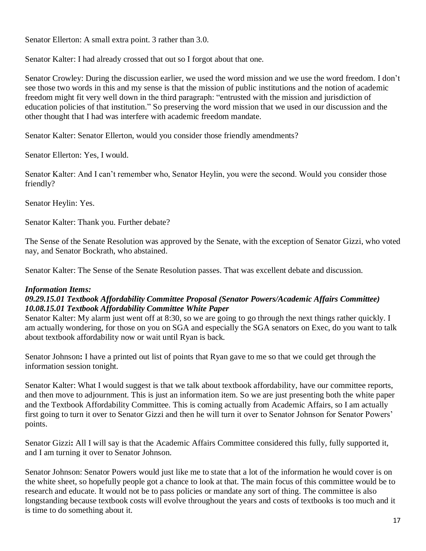Senator Ellerton: A small extra point. 3 rather than 3.0.

Senator Kalter: I had already crossed that out so I forgot about that one.

Senator Crowley: During the discussion earlier, we used the word mission and we use the word freedom. I don't see those two words in this and my sense is that the mission of public institutions and the notion of academic freedom might fit very well down in the third paragraph: "entrusted with the mission and jurisdiction of education policies of that institution." So preserving the word mission that we used in our discussion and the other thought that I had was interfere with academic freedom mandate.

Senator Kalter: Senator Ellerton, would you consider those friendly amendments?

Senator Ellerton: Yes, I would.

Senator Kalter: And I can't remember who, Senator Heylin, you were the second. Would you consider those friendly?

Senator Heylin: Yes.

Senator Kalter: Thank you. Further debate?

The Sense of the Senate Resolution was approved by the Senate, with the exception of Senator Gizzi, who voted nay, and Senator Bockrath, who abstained.

Senator Kalter: The Sense of the Senate Resolution passes. That was excellent debate and discussion.

### *Information Items:*

## *09.29.15.01 Textbook Affordability Committee Proposal (Senator Powers/Academic Affairs Committee) 10.08.15.01 Textbook Affordability Committee White Paper*

Senator Kalter: My alarm just went off at 8:30, so we are going to go through the next things rather quickly. I am actually wondering, for those on you on SGA and especially the SGA senators on Exec, do you want to talk about textbook affordability now or wait until Ryan is back.

Senator Johnson**:** I have a printed out list of points that Ryan gave to me so that we could get through the information session tonight.

Senator Kalter: What I would suggest is that we talk about textbook affordability, have our committee reports, and then move to adjournment. This is just an information item. So we are just presenting both the white paper and the Textbook Affordability Committee. This is coming actually from Academic Affairs, so I am actually first going to turn it over to Senator Gizzi and then he will turn it over to Senator Johnson for Senator Powers' points.

Senator Gizzi**:** All I will say is that the Academic Affairs Committee considered this fully, fully supported it, and I am turning it over to Senator Johnson.

Senator Johnson: Senator Powers would just like me to state that a lot of the information he would cover is on the white sheet, so hopefully people got a chance to look at that. The main focus of this committee would be to research and educate. It would not be to pass policies or mandate any sort of thing. The committee is also longstanding because textbook costs will evolve throughout the years and costs of textbooks is too much and it is time to do something about it.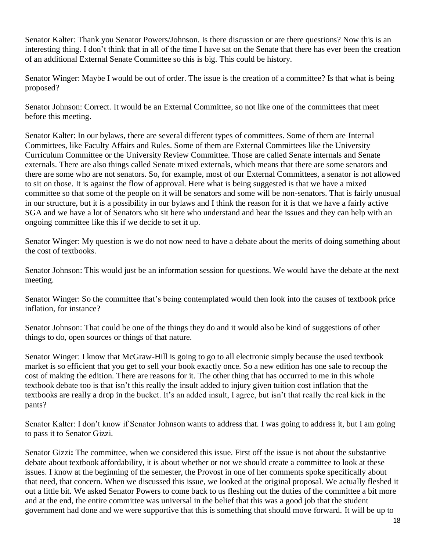Senator Kalter: Thank you Senator Powers/Johnson. Is there discussion or are there questions? Now this is an interesting thing. I don't think that in all of the time I have sat on the Senate that there has ever been the creation of an additional External Senate Committee so this is big. This could be history.

Senator Winger: Maybe I would be out of order. The issue is the creation of a committee? Is that what is being proposed?

Senator Johnson: Correct. It would be an External Committee, so not like one of the committees that meet before this meeting.

Senator Kalter: In our bylaws, there are several different types of committees. Some of them are Internal Committees, like Faculty Affairs and Rules. Some of them are External Committees like the University Curriculum Committee or the University Review Committee. Those are called Senate internals and Senate externals. There are also things called Senate mixed externals, which means that there are some senators and there are some who are not senators. So, for example, most of our External Committees, a senator is not allowed to sit on those. It is against the flow of approval. Here what is being suggested is that we have a mixed committee so that some of the people on it will be senators and some will be non-senators. That is fairly unusual in our structure, but it is a possibility in our bylaws and I think the reason for it is that we have a fairly active SGA and we have a lot of Senators who sit here who understand and hear the issues and they can help with an ongoing committee like this if we decide to set it up.

Senator Winger: My question is we do not now need to have a debate about the merits of doing something about the cost of textbooks.

Senator Johnson: This would just be an information session for questions. We would have the debate at the next meeting.

Senator Winger: So the committee that's being contemplated would then look into the causes of textbook price inflation, for instance?

Senator Johnson: That could be one of the things they do and it would also be kind of suggestions of other things to do, open sources or things of that nature.

Senator Winger: I know that McGraw-Hill is going to go to all electronic simply because the used textbook market is so efficient that you get to sell your book exactly once. So a new edition has one sale to recoup the cost of making the edition. There are reasons for it. The other thing that has occurred to me in this whole textbook debate too is that isn't this really the insult added to injury given tuition cost inflation that the textbooks are really a drop in the bucket. It's an added insult, I agree, but isn't that really the real kick in the pants?

Senator Kalter: I don't know if Senator Johnson wants to address that. I was going to address it, but I am going to pass it to Senator Gizzi.

Senator Gizzi**:** The committee, when we considered this issue. First off the issue is not about the substantive debate about textbook affordability, it is about whether or not we should create a committee to look at these issues. I know at the beginning of the semester, the Provost in one of her comments spoke specifically about that need, that concern. When we discussed this issue, we looked at the original proposal. We actually fleshed it out a little bit. We asked Senator Powers to come back to us fleshing out the duties of the committee a bit more and at the end, the entire committee was universal in the belief that this was a good job that the student government had done and we were supportive that this is something that should move forward. It will be up to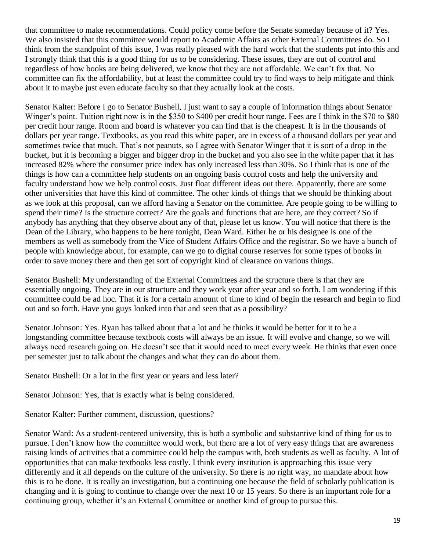that committee to make recommendations. Could policy come before the Senate someday because of it? Yes. We also insisted that this committee would report to Academic Affairs as other External Committees do. So I think from the standpoint of this issue, I was really pleased with the hard work that the students put into this and I strongly think that this is a good thing for us to be considering. These issues, they are out of control and regardless of how books are being delivered, we know that they are not affordable. We can't fix that. No committee can fix the affordability, but at least the committee could try to find ways to help mitigate and think about it to maybe just even educate faculty so that they actually look at the costs.

Senator Kalter: Before I go to Senator Bushell, I just want to say a couple of information things about Senator Winger's point. Tuition right now is in the \$350 to \$400 per credit hour range. Fees are I think in the \$70 to \$80 per credit hour range. Room and board is whatever you can find that is the cheapest. It is in the thousands of dollars per year range. Textbooks, as you read this white paper, are in excess of a thousand dollars per year and sometimes twice that much. That's not peanuts, so I agree with Senator Winger that it is sort of a drop in the bucket, but it is becoming a bigger and bigger drop in the bucket and you also see in the white paper that it has increased 82% where the consumer price index has only increased less than 30%. So I think that is one of the things is how can a committee help students on an ongoing basis control costs and help the university and faculty understand how we help control costs. Just float different ideas out there. Apparently, there are some other universities that have this kind of committee. The other kinds of things that we should be thinking about as we look at this proposal, can we afford having a Senator on the committee. Are people going to be willing to spend their time? Is the structure correct? Are the goals and functions that are here, are they correct? So if anybody has anything that they observe about any of that, please let us know. You will notice that there is the Dean of the Library, who happens to be here tonight, Dean Ward. Either he or his designee is one of the members as well as somebody from the Vice of Student Affairs Office and the registrar. So we have a bunch of people with knowledge about, for example, can we go to digital course reserves for some types of books in order to save money there and then get sort of copyright kind of clearance on various things.

Senator Bushell: My understanding of the External Committees and the structure there is that they are essentially ongoing. They are in our structure and they work year after year and so forth. I am wondering if this committee could be ad hoc. That it is for a certain amount of time to kind of begin the research and begin to find out and so forth. Have you guys looked into that and seen that as a possibility?

Senator Johnson: Yes. Ryan has talked about that a lot and he thinks it would be better for it to be a longstanding committee because textbook costs will always be an issue. It will evolve and change, so we will always need research going on. He doesn't see that it would need to meet every week. He thinks that even once per semester just to talk about the changes and what they can do about them.

Senator Bushell: Or a lot in the first year or years and less later?

Senator Johnson: Yes, that is exactly what is being considered.

Senator Kalter: Further comment, discussion, questions?

Senator Ward: As a student-centered university, this is both a symbolic and substantive kind of thing for us to pursue. I don't know how the committee would work, but there are a lot of very easy things that are awareness raising kinds of activities that a committee could help the campus with, both students as well as faculty. A lot of opportunities that can make textbooks less costly. I think every institution is approaching this issue very differently and it all depends on the culture of the university. So there is no right way, no mandate about how this is to be done. It is really an investigation, but a continuing one because the field of scholarly publication is changing and it is going to continue to change over the next 10 or 15 years. So there is an important role for a continuing group, whether it's an External Committee or another kind of group to pursue this.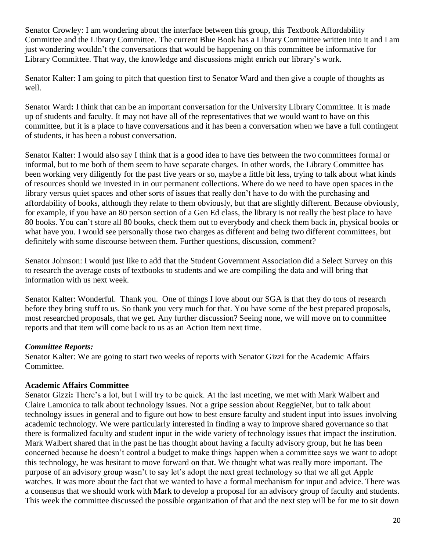Senator Crowley: I am wondering about the interface between this group, this Textbook Affordability Committee and the Library Committee. The current Blue Book has a Library Committee written into it and I am just wondering wouldn't the conversations that would be happening on this committee be informative for Library Committee. That way, the knowledge and discussions might enrich our library's work.

Senator Kalter: I am going to pitch that question first to Senator Ward and then give a couple of thoughts as well.

Senator Ward**:** I think that can be an important conversation for the University Library Committee. It is made up of students and faculty. It may not have all of the representatives that we would want to have on this committee, but it is a place to have conversations and it has been a conversation when we have a full contingent of students, it has been a robust conversation.

Senator Kalter: I would also say I think that is a good idea to have ties between the two committees formal or informal, but to me both of them seem to have separate charges. In other words, the Library Committee has been working very diligently for the past five years or so, maybe a little bit less, trying to talk about what kinds of resources should we invested in in our permanent collections. Where do we need to have open spaces in the library versus quiet spaces and other sorts of issues that really don't have to do with the purchasing and affordability of books, although they relate to them obviously, but that are slightly different. Because obviously, for example, if you have an 80 person section of a Gen Ed class, the library is not really the best place to have 80 books. You can't store all 80 books, check them out to everybody and check them back in, physical books or what have you. I would see personally those two charges as different and being two different committees, but definitely with some discourse between them. Further questions, discussion, comment?

Senator Johnson: I would just like to add that the Student Government Association did a Select Survey on this to research the average costs of textbooks to students and we are compiling the data and will bring that information with us next week.

Senator Kalter: Wonderful. Thank you. One of things I love about our SGA is that they do tons of research before they bring stuff to us. So thank you very much for that. You have some of the best prepared proposals, most researched proposals, that we get. Any further discussion? Seeing none, we will move on to committee reports and that item will come back to us as an Action Item next time.

## *Committee Reports:*

Senator Kalter: We are going to start two weeks of reports with Senator Gizzi for the Academic Affairs Committee.

## **Academic Affairs Committee**

Senator Gizzi**:** There's a lot, but I will try to be quick. At the last meeting, we met with Mark Walbert and Claire Lamonica to talk about technology issues. Not a gripe session about ReggieNet, but to talk about technology issues in general and to figure out how to best ensure faculty and student input into issues involving academic technology. We were particularly interested in finding a way to improve shared governance so that there is formalized faculty and student input in the wide variety of technology issues that impact the institution. Mark Walbert shared that in the past he has thought about having a faculty advisory group, but he has been concerned because he doesn't control a budget to make things happen when a committee says we want to adopt this technology, he was hesitant to move forward on that. We thought what was really more important. The purpose of an advisory group wasn't to say let's adopt the next great technology so that we all get Apple watches. It was more about the fact that we wanted to have a formal mechanism for input and advice. There was a consensus that we should work with Mark to develop a proposal for an advisory group of faculty and students. This week the committee discussed the possible organization of that and the next step will be for me to sit down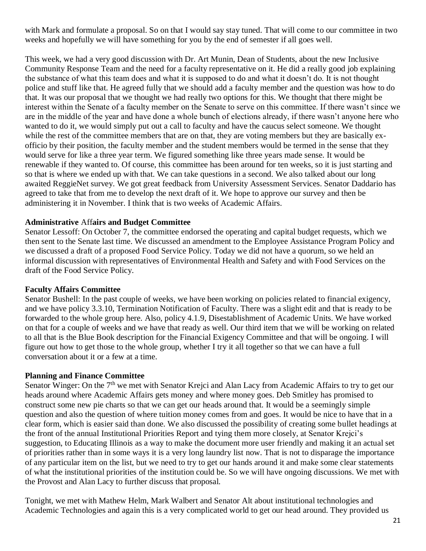with Mark and formulate a proposal. So on that I would say stay tuned. That will come to our committee in two weeks and hopefully we will have something for you by the end of semester if all goes well.

This week, we had a very good discussion with Dr. Art Munin, Dean of Students, about the new Inclusive Community Response Team and the need for a faculty representative on it. He did a really good job explaining the substance of what this team does and what it is supposed to do and what it doesn't do. It is not thought police and stuff like that. He agreed fully that we should add a faculty member and the question was how to do that. It was our proposal that we thought we had really two options for this. We thought that there might be interest within the Senate of a faculty member on the Senate to serve on this committee. If there wasn't since we are in the middle of the year and have done a whole bunch of elections already, if there wasn't anyone here who wanted to do it, we would simply put out a call to faculty and have the caucus select someone. We thought while the rest of the committee members that are on that, they are voting members but they are basically exofficio by their position, the faculty member and the student members would be termed in the sense that they would serve for like a three year term. We figured something like three years made sense. It would be renewable if they wanted to. Of course, this committee has been around for ten weeks, so it is just starting and so that is where we ended up with that. We can take questions in a second. We also talked about our long awaited ReggieNet survey. We got great feedback from University Assessment Services. Senator Daddario has agreed to take that from me to develop the next draft of it. We hope to approve our survey and then be administering it in November. I think that is two weeks of Academic Affairs.

#### **Administrative** Aff**airs and Budget Committee**

Senator Lessoff: On October 7, the committee endorsed the operating and capital budget requests, which we then sent to the Senate last time. We discussed an amendment to the Employee Assistance Program Policy and we discussed a draft of a proposed Food Service Policy. Today we did not have a quorum, so we held an informal discussion with representatives of Environmental Health and Safety and with Food Services on the draft of the Food Service Policy.

#### **Faculty Affairs Committee**

Senator Bushell: In the past couple of weeks, we have been working on policies related to financial exigency, and we have policy 3.3.10, Termination Notification of Faculty. There was a slight edit and that is ready to be forwarded to the whole group here. Also, policy 4.1.9, Disestablishment of Academic Units. We have worked on that for a couple of weeks and we have that ready as well. Our third item that we will be working on related to all that is the Blue Book description for the Financial Exigency Committee and that will be ongoing. I will figure out how to get those to the whole group, whether I try it all together so that we can have a full conversation about it or a few at a time.

#### **Planning and Finance Committee**

Senator Winger: On the 7<sup>th</sup> we met with Senator Krejci and Alan Lacy from Academic Affairs to try to get our heads around where Academic Affairs gets money and where money goes. Deb Smitley has promised to construct some new pie charts so that we can get our heads around that. It would be a seemingly simple question and also the question of where tuition money comes from and goes. It would be nice to have that in a clear form, which is easier said than done. We also discussed the possibility of creating some bullet headings at the front of the annual Institutional Priorities Report and tying them more closely, at Senator Krejci's suggestion, to Educating Illinois as a way to make the document more user friendly and making it an actual set of priorities rather than in some ways it is a very long laundry list now. That is not to disparage the importance of any particular item on the list, but we need to try to get our hands around it and make some clear statements of what the institutional priorities of the institution could be. So we will have ongoing discussions. We met with the Provost and Alan Lacy to further discuss that proposal.

Tonight, we met with Mathew Helm, Mark Walbert and Senator Alt about institutional technologies and Academic Technologies and again this is a very complicated world to get our head around. They provided us